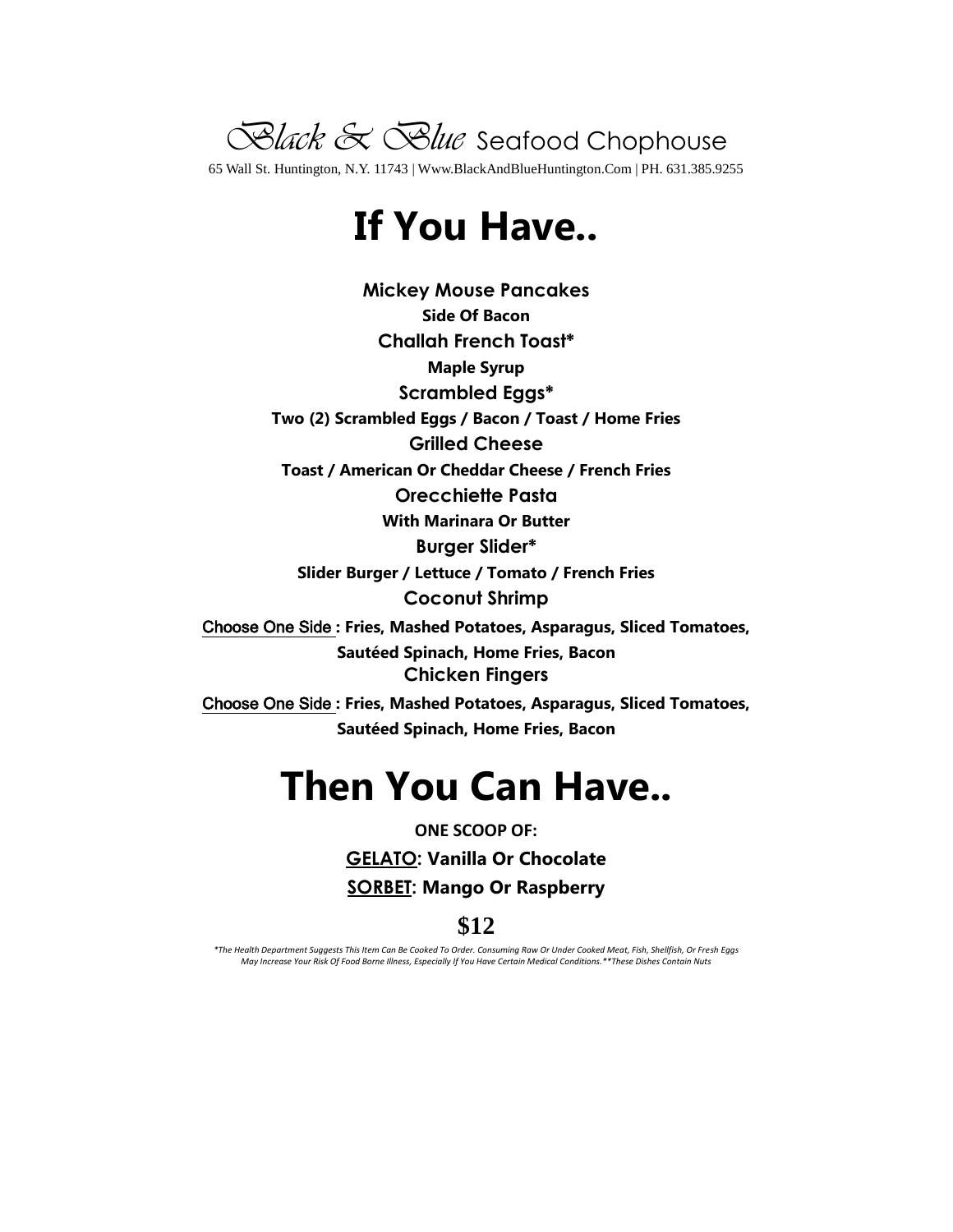*Black & Blue* Seafood Chophouse

65 Wall St. Huntington, N.Y. 11743 | Www.BlackAndBlueHuntington.Com | PH. 631.385.9255

# **If You Have..**

**Mickey Mouse Pancakes Side Of Bacon Challah French Toast\* Maple Syrup Scrambled Eggs\* Two (2) Scrambled Eggs / Bacon / Toast / Home Fries Grilled Cheese Toast / American Or Cheddar Cheese / French Fries Orecchiette Pasta With Marinara Or Butter Burger Slider\* Slider Burger / Lettuce / Tomato / French Fries Coconut Shrimp** Choose One Side **: Fries, Mashed Potatoes, Asparagus, Sliced Tomatoes, Sautéed Spinach, Home Fries, Bacon Chicken Fingers** Choose One Side **: Fries, Mashed Potatoes, Asparagus, Sliced Tomatoes, Sautéed Spinach, Home Fries, Bacon**

## **Then You Can Have..**

**ONE SCOOP OF:**

**GELATO: Vanilla Or Chocolate SORBET: Mango Or Raspberry** 

### **\$12**

*\*The Health Department Suggests This Item Can Be Cooked To Order. Consuming Raw Or Under Cooked Meat, Fish, Shellfish, Or Fresh Eggs May Increase Your Risk Of Food Borne Illness, Especially If You Have Certain Medical Conditions.\*\*These Dishes Contain Nuts*